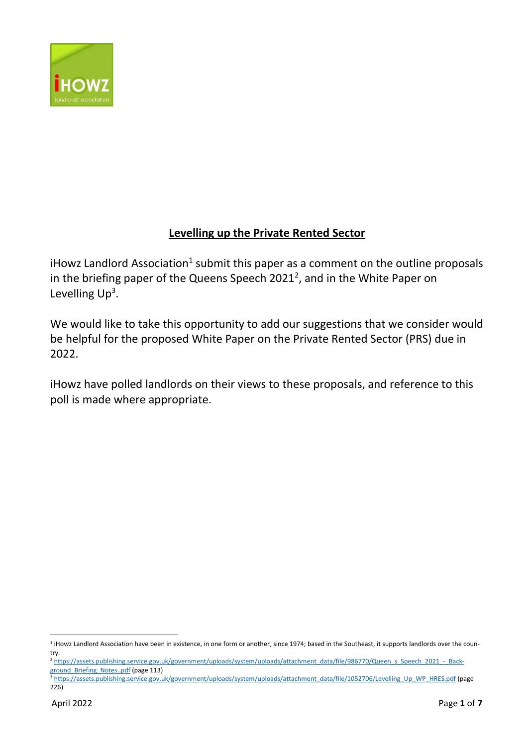

# **Levelling up the Private Rented Sector**

iHowz Landlord Association<sup>1</sup> submit this paper as a comment on the outline proposals in the briefing paper of the Queens Speech 2021<sup>2</sup>, and in the White Paper on Levelling  $Up<sup>3</sup>$ .

We would like to take this opportunity to add our suggestions that we consider would be helpful for the proposed White Paper on the Private Rented Sector (PRS) due in 2022.

iHowz have polled landlords on their views to these proposals, and reference to this poll is made where appropriate.

<sup>&</sup>lt;sup>1</sup> iHowz Landlord Association have been in existence, in one form or another, since 1974; based in the Southeast, it supports landlords over the country.

<sup>&</sup>lt;sup>2</sup> [https://assets.publishing.service.gov.uk/government/uploads/system/uploads/attachment\\_data/file/986770/Queen\\_s\\_Speech\\_2021\\_-\\_Back](https://assets.publishing.service.gov.uk/government/uploads/system/uploads/attachment_data/file/986770/Queen_s_Speech_2021_-_Background_Briefing_Notes..pdf)[ground\\_Briefing\\_Notes..pdf](https://assets.publishing.service.gov.uk/government/uploads/system/uploads/attachment_data/file/986770/Queen_s_Speech_2021_-_Background_Briefing_Notes..pdf) (page 113)

<sup>3</sup> [https://assets.publishing.service.gov.uk/government/uploads/system/uploads/attachment\\_data/file/1052706/Levelling\\_Up\\_WP\\_HRES.pdf](https://assets.publishing.service.gov.uk/government/uploads/system/uploads/attachment_data/file/1052706/Levelling_Up_WP_HRES.pdf) (page 226)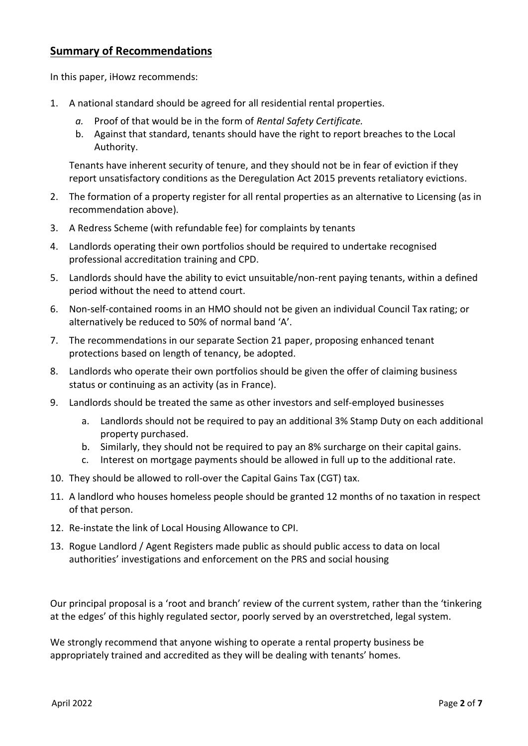# **Summary of Recommendations**

In this paper, iHowz recommends:

- 1. A national standard should be agreed for all residential rental properties.
	- *a.* Proof of that would be in the form of *Rental Safety Certificate.*
	- b. Against that standard, tenants should have the right to report breaches to the Local Authority.

Tenants have inherent security of tenure, and they should not be in fear of eviction if they report unsatisfactory conditions as the Deregulation Act 2015 prevents retaliatory evictions.

- 2. The formation of a property register for all rental properties as an alternative to Licensing (as in recommendation above).
- 3. A Redress Scheme (with refundable fee) for complaints by tenants
- 4. Landlords operating their own portfolios should be required to undertake recognised professional accreditation training and CPD.
- 5. Landlords should have the ability to evict unsuitable/non-rent paying tenants, within a defined period without the need to attend court.
- 6. Non-self-contained rooms in an HMO should not be given an individual Council Tax rating; or alternatively be reduced to 50% of normal band 'A'.
- 7. The recommendations in our separate Section 21 paper, proposing enhanced tenant protections based on length of tenancy, be adopted.
- 8. Landlords who operate their own portfolios should be given the offer of claiming business status or continuing as an activity (as in France).
- 9. Landlords should be treated the same as other investors and self-employed businesses
	- a. Landlords should not be required to pay an additional 3% Stamp Duty on each additional property purchased.
	- b. Similarly, they should not be required to pay an 8% surcharge on their capital gains.
	- c. Interest on mortgage payments should be allowed in full up to the additional rate.
- 10. They should be allowed to roll-over the Capital Gains Tax (CGT) tax.
- 11. A landlord who houses homeless people should be granted 12 months of no taxation in respect of that person.
- 12. Re-instate the link of Local Housing Allowance to CPI.
- 13. Rogue Landlord / Agent Registers made public as should public access to data on local authorities' investigations and enforcement on the PRS and social housing

Our principal proposal is a 'root and branch' review of the current system, rather than the 'tinkering at the edges' of this highly regulated sector, poorly served by an overstretched, legal system.

We strongly recommend that anyone wishing to operate a rental property business be appropriately trained and accredited as they will be dealing with tenants' homes.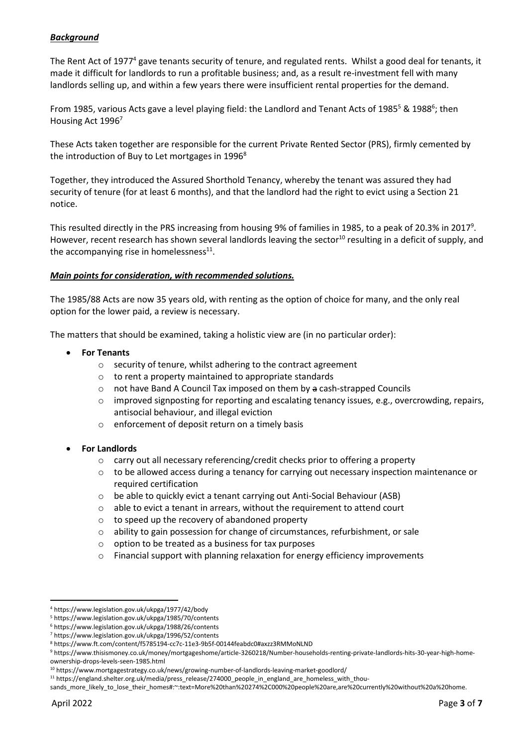## *Background*

The Rent Act of 1977<sup>4</sup> gave tenants security of tenure, and regulated rents. Whilst a good deal for tenants, it made it difficult for landlords to run a profitable business; and, as a result re-investment fell with many landlords selling up, and within a few years there were insufficient rental properties for the demand.

From 1985, various Acts gave a level playing field: the Landlord and Tenant Acts of 1985<sup>5</sup> & 1988<sup>6</sup>; then Housing Act 19967

These Acts taken together are responsible for the current Private Rented Sector (PRS), firmly cemented by the introduction of Buy to Let mortgages in  $1996<sup>8</sup>$ 

Together, they introduced the Assured Shorthold Tenancy, whereby the tenant was assured they had security of tenure (for at least 6 months), and that the landlord had the right to evict using a Section 21 notice.

This resulted directly in the PRS increasing from housing 9% of families in 1985, to a peak of 20.3% in 2017<sup>9</sup>. However, recent research has shown several landlords leaving the sector<sup>10</sup> resulting in a deficit of supply, and the accompanying rise in homelessness $^{11}$ .

#### *Main points for consideration, with recommended solutions.*

The 1985/88 Acts are now 35 years old, with renting as the option of choice for many, and the only real option for the lower paid, a review is necessary.

The matters that should be examined, taking a holistic view are (in no particular order):

- **For Tenants**
	- o security of tenure, whilst adhering to the contract agreement
	- o to rent a property maintained to appropriate standards
	- o not have Band A Council Tax imposed on them by a cash-strapped Councils
	- $\circ$  improved signposting for reporting and escalating tenancy issues, e.g., overcrowding, repairs, antisocial behaviour, and illegal eviction
	- o enforcement of deposit return on a timely basis
- **For Landlords**
	- o carry out all necessary referencing/credit checks prior to offering a property
	- $\circ$  to be allowed access during a tenancy for carrying out necessary inspection maintenance or required certification
	- o be able to quickly evict a tenant carrying out Anti-Social Behaviour (ASB)
	- o able to evict a tenant in arrears, without the requirement to attend court
	- o to speed up the recovery of abandoned property
	- $\circ$  ability to gain possession for change of circumstances, refurbishment, or sale
	- o option to be treated as a business for tax purposes
	- o Financial support with planning relaxation for energy efficiency improvements

<sup>4</sup> https://www.legislation.gov.uk/ukpga/1977/42/body

<sup>5</sup> https://www.legislation.gov.uk/ukpga/1985/70/contents

<sup>6</sup> https://www.legislation.gov.uk/ukpga/1988/26/contents

<sup>7</sup> https://www.legislation.gov.uk/ukpga/1996/52/contents

<sup>8</sup> https://www.ft.com/content/f5785194-cc7c-11e3-9b5f-00144feabdc0#axzz3RMMoNLND

<sup>9</sup> https://www.thisismoney.co.uk/money/mortgageshome/article-3260218/Number-households-renting-private-landlords-hits-30-year-high-homeownership-drops-levels-seen-1985.html

<sup>10</sup> https://www.mortgagestrategy.co.uk/news/growing-number-of-landlords-leaving-market-goodlord/

<sup>11</sup> https://england.shelter.org.uk/media/press\_release/274000\_people\_in\_england\_are\_homeless\_with\_thou-

sands\_more\_likely\_to\_lose\_their\_homes#:~:text=More%20than%20274%2C000%20people%20are,are%20currently%20without%20a%20home.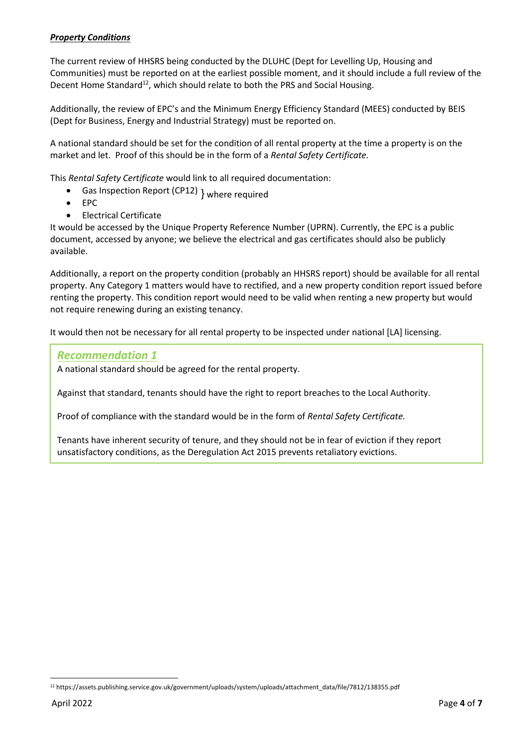## *Property Conditions*

The current review of HHSRS being conducted by the DLUHC (Dept for Levelling Up, Housing and Communities) must be reported on at the earliest possible moment, and it should include a full review of the Decent Home Standard<sup>12</sup>, which should relate to both the PRS and Social Housing.

Additionally, the review of EPC's and the Minimum Energy Efficiency Standard (MEES) conducted by BEIS (Dept for Business, Energy and Industrial Strategy) must be reported on.

A national standard should be set for the condition of all rental property at the time a property is on the market and let. Proof of this should be in the form of a *Rental Safety Certificate.*

This *Rental Safety Certificate* would link to all required documentation:

- Gas Inspection Report (CP12) } where required
- EPC
- Electrical Certificate

It would be accessed by the Unique Property Reference Number (UPRN). Currently, the EPC is a public document, accessed by anyone; we believe the electrical and gas certificates should also be publicly available.

Additionally, a report on the property condition (probably an HHSRS report) should be available for all rental property. Any Category 1 matters would have to rectified, and a new property condition report issued before renting the property. This condition report would need to be valid when renting a new property but would not require renewing during an existing tenancy.

It would then not be necessary for all rental property to be inspected under national [LA] licensing.

#### *Recommendation 1*

A national standard should be agreed for the rental property.

Against that standard, tenants should have the right to report breaches to the Local Authority.

Proof of compliance with the standard would be in the form of *Rental Safety Certificate.*

Tenants have inherent security of tenure, and they should not be in fear of eviction if they report unsatisfactory conditions, as the Deregulation Act 2015 prevents retaliatory evictions.

<sup>12</sup> https://assets.publishing.service.gov.uk/government/uploads/system/uploads/attachment\_data/file/7812/138355.pdf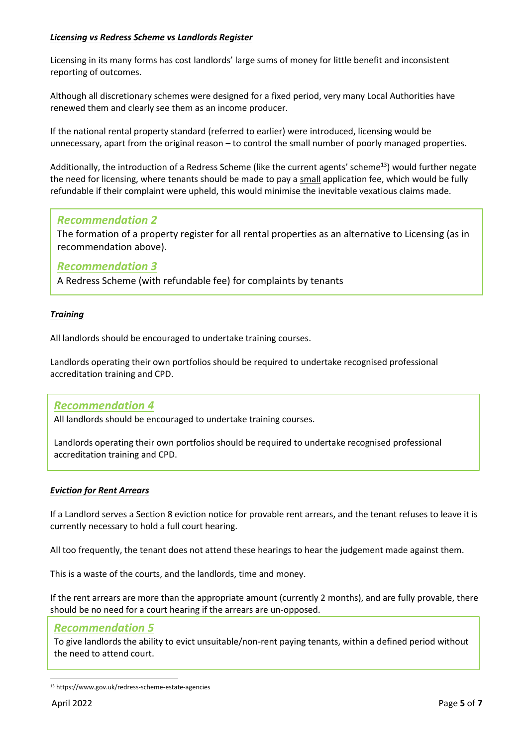## *Licensing vs Redress Scheme vs Landlords Register*

Licensing in its many forms has cost landlords' large sums of money for little benefit and inconsistent reporting of outcomes.

Although all discretionary schemes were designed for a fixed period, very many Local Authorities have renewed them and clearly see them as an income producer.

If the national rental property standard (referred to earlier) were introduced, licensing would be unnecessary, apart from the original reason – to control the small number of poorly managed properties.

Additionally, the introduction of a Redress Scheme (like the current agents' scheme<sup>13</sup>) would further negate the need for licensing, where tenants should be made to pay a small application fee, which would be fully refundable if their complaint were upheld, this would minimise the inevitable vexatious claims made.

# *Recommendation 2*

The formation of a property register for all rental properties as an alternative to Licensing (as in recommendation above).

## *Recommendation 3*

A Redress Scheme (with refundable fee) for complaints by tenants

#### *Training*

All landlords should be encouraged to undertake training courses.

Landlords operating their own portfolios should be required to undertake recognised professional accreditation training and CPD.

## *Recommendation 4*

All landlords should be encouraged to undertake training courses.

Landlords operating their own portfolios should be required to undertake recognised professional accreditation training and CPD.

#### *Eviction for Rent Arrears*

If a Landlord serves a Section 8 eviction notice for provable rent arrears, and the tenant refuses to leave it is currently necessary to hold a full court hearing.

All too frequently, the tenant does not attend these hearings to hear the judgement made against them.

This is a waste of the courts, and the landlords, time and money.

If the rent arrears are more than the appropriate amount (currently 2 months), and are fully provable, there should be no need for a court hearing if the arrears are un-opposed.

## *Recommendation 5*

To give landlords the ability to evict unsuitable/non-rent paying tenants, within a defined period without the need to attend court.

<sup>13</sup> https://www.gov.uk/redress-scheme-estate-agencies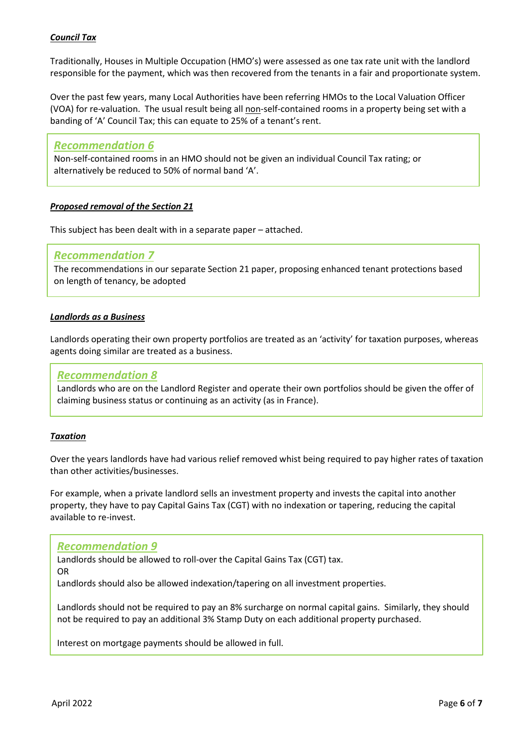## *Council Tax*

Traditionally, Houses in Multiple Occupation (HMO's) were assessed as one tax rate unit with the landlord responsible for the payment, which was then recovered from the tenants in a fair and proportionate system.

Over the past few years, many Local Authorities have been referring HMOs to the Local Valuation Officer (VOA) for re-valuation. The usual result being all non-self-contained rooms in a property being set with a banding of 'A' Council Tax; this can equate to 25% of a tenant's rent.

#### *Recommendation 6*

Non-self-contained rooms in an HMO should not be given an individual Council Tax rating; or alternatively be reduced to 50% of normal band 'A'.

#### *Proposed removal of the Section 21*

This subject has been dealt with in a separate paper – attached.

#### *Recommendation 7*

The recommendations in our separate Section 21 paper, proposing enhanced tenant protections based on length of tenancy, be adopted

#### *Landlords as a Business*

Landlords operating their own property portfolios are treated as an 'activity' for taxation purposes, whereas agents doing similar are treated as a business.

#### *Recommendation 8*

Landlords who are on the Landlord Register and operate their own portfolios should be given the offer of claiming business status or continuing as an activity (as in France).

#### *Taxation*

Over the years landlords have had various relief removed whist being required to pay higher rates of taxation than other activities/businesses.

For example, when a private landlord sells an investment property and invests the capital into another property, they have to pay Capital Gains Tax (CGT) with no indexation or tapering, reducing the capital available to re-invest.

#### *Recommendation 9*

Landlords should be allowed to roll-over the Capital Gains Tax (CGT) tax.

OR

Landlords should also be allowed indexation/tapering on all investment properties.

Landlords should not be required to pay an 8% surcharge on normal capital gains. Similarly, they should not be required to pay an additional 3% Stamp Duty on each additional property purchased.

Interest on mortgage payments should be allowed in full.